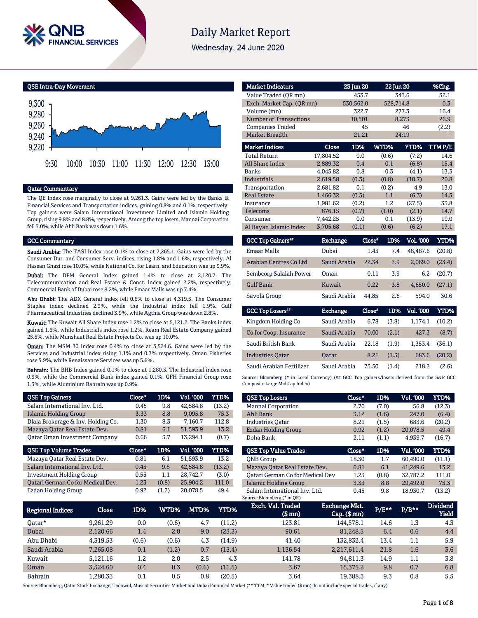

# **Daily Market Report**

Wednesday, 24 June 2020

QSE Intra-Day Movement



### Qatar Commentary

The QE Index rose marginally to close at 9,261.3. Gains were led by the Banks & Financial Services and Transportation indices, gaining 0.8% and 0.1%, respectively. Top gainers were Salam International Investment Limited and Islamic Holding Group, rising 9.8% and 8.8%, respectively. Among the top losers, Mannai Corporation fell 7.0%, while Ahli Bank was down 1.6%.

#### GCC Commentary

Saudi Arabia: The TASI Index rose 0.1% to close at 7,265.1. Gains were led by the Consumer Dur. and Consumer Serv. indices, rising 1.8% and 1.6%, respectively. Al Hassan Ghazi rose 10.0%, while National Co. for Learn. and Education was up 9.9%.

Dubai: The DFM General Index gained 1.4% to close at 2,120.7. The Telecommunication and Real Estate & Const. index gained 2.2%, respectively. Commercial Bank of Dubai rose 8.2%, while Emaar Malls was up 7.4%.

Abu Dhabi: The ADX General index fell 0.6% to close at 4,319.5. The Consumer Staples index declined 2.3%, while the Industrial index fell 1.9%. Gulf Pharmaceutical Industries declined 3.9%, while Agthia Group was down 2.8%.

Kuwait: The Kuwait All Share Index rose 1.2% to close at 5,121.2. The Banks index gained 1.6%, while Industrials index rose 1.2%. Ream Real Estate Company gained 25.5%, while Munshaat Real Estate Projects Co. was up 10.0%.

Oman: The MSM 30 Index rose 0.4% to close at 3,524.6. Gains were led by the Services and Industrial index rising 1.1% and 0.7% respectively. Oman Fisheries rose 5.9%, while Renaissance Services was up 5.6%.

Bahrain: The BHB Index gained 0.1% to close at 1,280.3. The Industrial index rose 0.9%, while the Commercial Bank index gained 0.1%. GFH Financial Group rose 1.3%, while Aluminium Bahrain was up 0.9%.

| <b>QSE Top Gainers</b>               | Close* | 1D%   | Vol. '000        | YTD%   |
|--------------------------------------|--------|-------|------------------|--------|
| Salam International Inv. Ltd.        | 0.45   | 9.8   | 42,584.8         | (13.2) |
| Islamic Holding Group                | 3.33   | 8.8   | 9.095.8          | 75.3   |
| Dlala Brokerage & Inv. Holding Co.   | 1.30   | 8.3   | 7,160.7          | 112.8  |
| Mazaya Qatar Real Estate Dev.        | 0.81   | 6.1   | 51,593.9         | 13.2   |
| <b>Qatar Oman Investment Company</b> | 0.66   | 5.7   | 13.294.1         | (0.7)  |
|                                      |        |       |                  |        |
| <b>QSE Top Volume Trades</b>         | Close* | 1D%   | <b>Vol. '000</b> | YTD%   |
| Mazaya Qatar Real Estate Dev.        | 0.81   | 6.1   | 51.593.9         | 13.2   |
| Salam International Inv. Ltd.        | 0.45   | 9.8   | 42,584.8         | (13.2) |
| <b>Investment Holding Group</b>      | 0.55   | 1.1   | 28,742.7         | (3.0)  |
| Oatari German Co for Medical Dev.    | 1.23   | (0.8) | 25,904.2         | 111.0  |

| <b>Market Indicators</b>  |           | 23 Jun 20 | 22 Jun 20     |                  | %Chg.       |
|---------------------------|-----------|-----------|---------------|------------------|-------------|
| Value Traded (OR mn)      |           | 453.7     |               | 343.6            | 32.1        |
| Exch. Market Cap. (QR mn) |           | 530,562.0 | 528,714.8     |                  | 0.3         |
| Volume (mn)               |           | 322.7     |               | 277.3            | 16.4        |
| Number of Transactions    |           | 10,501    |               | 8,275            | 26.9        |
| <b>Companies Traded</b>   |           | 45        |               | 46               | (2.2)       |
| <b>Market Breadth</b>     |           | 21:21     |               | 24:19            |             |
| <b>Market Indices</b>     | Close     | 1D%       | WTD%          | YTD%             | TTMP/E      |
| <b>Total Return</b>       | 17,804.52 | 0.0       | (0.6)         | (7.2)            | 14.6        |
| <b>All Share Index</b>    | 2,889.32  | 0.4       | 0.1           | (6.8)            | 15.4        |
| <b>Banks</b>              | 4,045.82  | 0.8       | 0.3           | (4.1)            | 13.3        |
| <b>Industrials</b>        | 2,619.58  | (0.3)     | (0.8)         | (10.7)           | 20.8        |
| Transportation            | 2,681.82  | 0.1       | (0.2)         | 4.9              | 13.0        |
| <b>Real Estate</b>        | 1,466.32  | (0.5)     | 1.1           | (6.3)            | 14.5        |
| Insurance                 | 1,981.62  | (0.2)     | 1.2           | (27.5)           | 33.8        |
| <b>Telecoms</b>           | 876.15    | (0.7)     | (1.0)         | (2.1)            | 14.7        |
| Consumer                  | 7,442.25  | 0.0       | 0.1           | (13.9)           | 19.0        |
| Al Rayan Islamic Index    | 3,705.68  | (0.1)     | (0.6)         | (6.2)            | 17.1        |
| <b>GCC Top Gainers**</b>  | Exchange  |           | Close*<br>1D% | <b>Vol. '000</b> | <b>YTD%</b> |

| Dubai        | 1.45  | 7.4 | 48.487.6 | (20.8) |
|--------------|-------|-----|----------|--------|
| Saudi Arabia | 22.34 | 3.9 | 2.069.0  | (23.4) |
| Oman         | 0.11  | 3.9 | 6.2      | (20.7) |
| Kuwait       | 0.22  | 3.8 | 4.650.0  | (27.1) |
| Saudi Arabia | 44.85 | 2.6 | 594.0    | 30.6   |
|              |       |     |          |        |

| <b>GCC Top Losers**</b>  | <b>Exchange</b> | Close* | 1D%   | <b>Vol. '000</b> | YTD%   |
|--------------------------|-----------------|--------|-------|------------------|--------|
| Kingdom Holding Co       | Saudi Arabia    | 6.78   | (3.8) | 1.174.1          | (10.2) |
| Co for Coop. Insurance   | Saudi Arabia    | 70.00  | (2.1) | 427.3            | (8.7)  |
| Saudi British Bank       | Saudi Arabia    | 22.18  | (1.9) | 1.353.4          | (36.1) |
| <b>Industries Oatar</b>  | <b>Oatar</b>    | 8.21   | (1.5) | 683.6            | (20.2) |
| Saudi Arabian Fertilizer | Saudi Arabia    | 75.50  | (1.4) | 218.2            | (2.6)  |

Source: Bloomberg (# in Local Currency) (## GCC Top gainers/losers derived from the S&P GCC Composite Large Mid Cap Index)

| <b>QSE Top Losers</b>            | Close* | 1D%   | Vol. '000 | YTD%   |
|----------------------------------|--------|-------|-----------|--------|
| Mannai Corporation               | 2.70   | (7.0) | 56.8      | (12.3) |
| Ahli Bank                        | 3.12   | (1.6) | 247.0     | (6.4)  |
| <b>Industries Oatar</b>          | 8.21   | (1.5) | 683.6     | (20.2) |
| <b>Ezdan Holding Group</b>       | 0.92   | (1.2) | 20.078.5  | 49.4   |
| Doha Bank                        | 2.11   | (1.1) | 4,939.7   | (16.7) |
| <b>OSE Top Value Trades</b>      | Close* | 1D%   | Val. '000 | YTD%   |
|                                  |        |       |           |        |
| <b>ONB</b> Group                 | 18.30  | 1.7   | 60.490.0  | (11.1) |
| Mazaya Qatar Real Estate Dev.    | 0.81   | 6.1   | 41,249.6  | 13.2   |
| Oatari German Co for Medical Dev | 1.23   | (0.8) | 32.787.2  | 111.0  |
| Islamic Holding Group            | 3.33   | 8.8   | 29,492.0  | 75.3   |

|                  |          |         |       |       |             | Source: Bloomberg (* in QR)     |                                 |       |         |                                 |
|------------------|----------|---------|-------|-------|-------------|---------------------------------|---------------------------------|-------|---------|---------------------------------|
| Regional Indices | Close    | 1D%     | WTD%  | MTD%  | <b>YTD%</b> | Exch. Val. Traded<br>$$$ mm $)$ | Exchange Mkt.<br>$Cap.$ (\$ mn) | P/E** | $P/B**$ | <b>Dividend</b><br><b>Yield</b> |
| Oatar*           | 9,261.29 | 0.0     | (0.6) | 4.7   | (11.2)      | 123.81                          | 144,578.1                       | 14.6  | 1.3     | 4.3                             |
| Dubai            | 2,120.66 | 1.4     | 2.0   | 9.0   | (23.3)      | 90.61                           | 81.248.5                        | 6.4   | 0.6     | 4.4                             |
| Abu Dhabi        | 4,319.53 | (0.6)   | (0.6) | 4.3   | (14.9)      | 41.40                           | 132.832.4                       | 13.4  | 1.1     | 5.9                             |
| Saudi Arabia     | 7,265.08 | 0.1     | (1.2) | 0.7   | (13.4)      | 1,136.54                        | 2,217,611.4                     | 21.8  | 1.6     | 3.6                             |
| Kuwait           | 5.121.16 | $1.2\,$ | 2.0   | 2.5   | 4.3         | 141.78                          | 94,811.3                        | 14.9  | 1.1     | 3.8                             |
| Oman             | 3.524.60 | 0.4     | 0.3   | (0.6) | (11.5)      | 3.67                            | 15,375.2                        | 9.8   | 0.7     | 6.8                             |
| Bahrain          | 1.280.33 | 0.1     | 0.5   | 0.8   | (20.5)      | 3.64                            | 19,388.3                        | 9.3   | 0.8     | 5.5                             |

Source: Bloomberg, Qatar Stock Exchange, Tadawul, Muscat Securities Market and Dubai Financial Market (\*\* TTM; \* Value traded (\$ mn) do not include special trades, if any)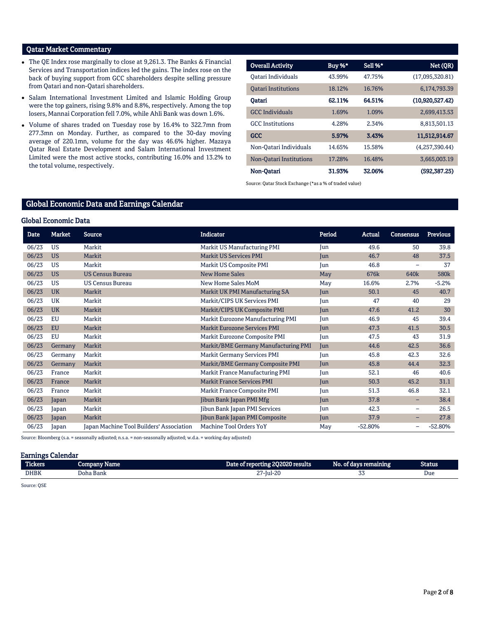# Qatar Market Commentary

- The QE Index rose marginally to close at 9,261.3. The Banks & Financial Services and Transportation indices led the gains. The index rose on the back of buying support from GCC shareholders despite selling pressure from Qatari and non-Qatari shareholders.
- Salam International Investment Limited and Islamic Holding Group were the top gainers, rising 9.8% and 8.8%, respectively. Among the top losers, Mannai Corporation fell 7.0%, while Ahli Bank was down 1.6%.
- Volume of shares traded on Tuesday rose by 16.4% to 322.7mn from 277.3mn on Monday. Further, as compared to the 30-day moving average of 220.1mn, volume for the day was 46.6% higher. Mazaya Qatar Real Estate Development and Salam International Investment Limited were the most active stocks, contributing 16.0% and 13.2% to the total volume, respectively.

| <b>Overall Activity</b>    | Buy %* | Sell %* | Net (QR)        |
|----------------------------|--------|---------|-----------------|
| Oatari Individuals         | 43.99% | 47.75%  | (17,095,320.81) |
| <b>Oatari Institutions</b> | 18.12% | 16.76%  | 6,174,793.39    |
| Oatari                     | 62.11% | 64.51%  | (10,920,527.42) |
| <b>GCC</b> Individuals     | 1.69%  | 1.09%   | 2.699.413.53    |
| <b>GCC</b> Institutions    | 4.28%  | 2.34%   | 8,813,501.13    |
| <b>GCC</b>                 | 5.97%  | 3.43%   | 11,512,914.67   |
| Non-Oatari Individuals     | 14.65% | 15.58%  | (4,257,390.44)  |
| Non-Oatari Institutions    | 17.28% | 16.48%  | 3,665,003.19    |
| Non-Oatari                 | 31.93% | 32.06%  | (592, 387, 25)  |

Source: Qatar Stock Exchange (\*as a % of traded value)

# Global Economic Data and Earnings Calendar

#### Global Economic Data

| Date  | <b>Market</b> | <b>Source</b>                            | <b>Indicator</b>                     | Period | Actual           | <b>Consensus</b>         | <b>Previous</b> |
|-------|---------------|------------------------------------------|--------------------------------------|--------|------------------|--------------------------|-----------------|
| 06/23 | <b>US</b>     | Markit                                   | Markit US Manufacturing PMI          | Jun    | 49.6             | 50                       | 39.8            |
| 06/23 | <b>US</b>     | Markit                                   | <b>Markit US Services PMI</b>        | Jun    | 46.7             | 48                       | 37.5            |
| 06/23 | <b>US</b>     | Markit                                   | Markit US Composite PMI              | Jun    | 46.8             | $\overline{\phantom{m}}$ | 37              |
| 06/23 | <b>US</b>     | <b>US Census Bureau</b>                  | <b>New Home Sales</b>                | May    | 676 <sub>k</sub> | 640 <sub>k</sub>         | 580k            |
| 06/23 | <b>US</b>     | <b>US Census Bureau</b>                  | New Home Sales MoM                   | May    | 16.6%            | 2.7%                     | $-5.2%$         |
| 06/23 | <b>UK</b>     | Markit                                   | Markit UK PMI Manufacturing SA       | Jun    | 50.1             | 45                       | 40.7            |
| 06/23 | UK            | Markit                                   | Markit/CIPS UK Services PMI          | Jun    | 47               | 40                       | 29              |
| 06/23 | <b>UK</b>     | Markit                                   | Markit/CIPS UK Composite PMI         | Jun    | 47.6             | 41.2                     | 30              |
| 06/23 | EU            | Markit                                   | Markit Eurozone Manufacturing PMI    | Jun    | 46.9             | 45                       | 39.4            |
| 06/23 | <b>EU</b>     | Markit                                   | <b>Markit Eurozone Services PMI</b>  | Jun    | 47.3             | 41.5                     | 30.5            |
| 06/23 | EU            | Markit                                   | Markit Eurozone Composite PMI        | Jun    | 47.5             | 43                       | 31.9            |
| 06/23 | Germany       | Markit                                   | Markit/BME Germany Manufacturing PMI | Jun    | 44.6             | 42.5                     | 36.6            |
| 06/23 | Germany       | Markit                                   | <b>Markit Germany Services PMI</b>   | Jun    | 45.8             | 42.3                     | 32.6            |
| 06/23 | Germany       | Markit                                   | Markit/BME Germany Composite PMI     | Jun    | 45.8             | 44.4                     | 32.3            |
| 06/23 | France        | Markit                                   | Markit France Manufacturing PMI      | Jun    | 52.1             | 46                       | 40.6            |
| 06/23 | France        | Markit                                   | <b>Markit France Services PMI</b>    | Jun    | 50.3             | 45.2                     | 31.1            |
| 06/23 | France        | Markit                                   | Markit France Composite PMI          | Jun    | 51.3             | 46.8                     | 32.1            |
| 06/23 | Japan         | Markit                                   | Jibun Bank Japan PMI Mfg             | Jun    | 37.8             | -                        | 38.4            |
| 06/23 | Japan         | Markit                                   | Jibun Bank Japan PMI Services        | Jun    | 42.3             | $\qquad \qquad -$        | 26.5            |
| 06/23 | Japan         | Markit                                   | Jibun Bank Japan PMI Composite       | Jun    | 37.9             | $-$                      | 27.8            |
| 06/23 | Japan         | Japan Machine Tool Builders' Association | Machine Tool Orders YoY              | May    | $-52.80%$        | $\overline{\phantom{m}}$ | $-52.80%$       |

Source: Bloomberg (s.a. = seasonally adjusted; n.s.a. = non-seasonally adjusted; w.d.a. = working day adjusted)

#### Earnings Calendar

| <b>The Contract of the Contract of the Contract of the Contract of the Contract of the Contract of the Contract of The Contract of The Contract of The Contract of The Contract of The Contract of The Contract of The Contract </b><br>Tickers | company<br>Name | reporting 202020 results .<br>vare   | --<br>No.<br>, ordavs remaining | Status |
|-------------------------------------------------------------------------------------------------------------------------------------------------------------------------------------------------------------------------------------------------|-----------------|--------------------------------------|---------------------------------|--------|
| <b>DHBK</b>                                                                                                                                                                                                                                     | Doha Bank       | $\sim$ $\sim$<br>$\Omega$<br>7-jul-2 | ັບບ                             | Due    |

Source: QSE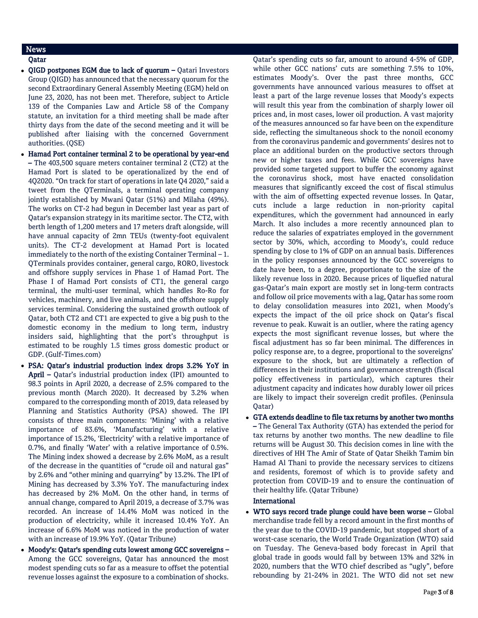# News

# Qatar

- OIGD postpones EGM due to lack of quorum Qatari Investors Group (QIGD) has announced that the necessary quorum for the second Extraordinary General Assembly Meeting (EGM) held on June 23, 2020, has not been met. Therefore, subject to Article 139 of the Companies Law and Article 58 of the Company statute, an invitation for a third meeting shall be made after thirty days from the date of the second meeting and it will be published after liaising with the concerned Government authorities. (QSE)
- Hamad Port container terminal 2 to be operational by year-end – The 403,500 square meters container terminal 2 (CT2) at the Hamad Port is slated to be operationalized by the end of 4Q2020. "On track for start of operations in late Q4 2020," said a tweet from the QTerminals, a terminal operating company jointly established by Mwani Qatar (51%) and Milaha (49%). The works on CT-2 had begun in December last year as part of Qatar's expansion strategy in its maritime sector. The CT2, with berth length of 1,200 meters and 17 meters draft alongside, will have annual capacity of 2mn TEUs (twenty-foot equivalent units). The CT-2 development at Hamad Port is located immediately to the north of the existing Container Terminal – 1. QTerminals provides container, general cargo, RORO, livestock and offshore supply services in Phase 1 of Hamad Port. The Phase I of Hamad Port consists of CT1, the general cargo terminal, the multi-user terminal, which handles Ro-Ro for vehicles, machinery, and live animals, and the offshore supply services terminal. Considering the sustained growth outlook of Qatar, both CT2 and CT1 are expected to give a big push to the domestic economy in the medium to long term, industry insiders said, highlighting that the port's throughput is estimated to be roughly 1.5 times gross domestic product or GDP. (Gulf-Times.com)
- PSA: Qatar's industrial production index drops 3.2% YoY in April – Qatar's industrial production index (IPI) amounted to 98.3 points in April 2020, a decrease of 2.5% compared to the previous month (March 2020). It decreased by 3.2% when compared to the corresponding month of 2019, data released by Planning and Statistics Authority (PSA) showed. The IPI consists of three main components: 'Mining' with a relative importance of 83.6%, 'Manufacturing' with a relative importance of 15.2%, 'Electricity' with a relative importance of 0.7%, and finally 'Water' with a relative importance of 0.5%. The Mining index showed a decrease by 2.6% MoM, as a result of the decrease in the quantities of "crude oil and natural gas" by 2.6% and "other mining and quarrying" by 13.2%. The IPI of Mining has decreased by 3.3% YoY. The manufacturing index has decreased by 2% MoM. On the other hand, in terms of annual change, compared to April 2019, a decrease of 3.7% was recorded. An increase of 14.4% MoM was noticed in the production of electricity, while it increased 10.4% YoY. An increase of 6.6% MoM was noticed in the production of water with an increase of 19.9% YoY. (Qatar Tribune)
- Moody's: Qatar's spending cuts lowest among GCC sovereigns -Among the GCC sovereigns, Qatar has announced the most modest spending cuts so far as a measure to offset the potential revenue losses against the exposure to a combination of shocks.

Qatar's spending cuts so far, amount to around 4-5% of GDP, while other GCC nations' cuts are something 7.5% to 10%, estimates Moody's. Over the past three months, GCC governments have announced various measures to offset at least a part of the large revenue losses that Moody's expects will result this year from the combination of sharply lower oil prices and, in most cases, lower oil production. A vast majority of the measures announced so far have been on the expenditure side, reflecting the simultaneous shock to the nonoil economy from the coronavirus pandemic and governments' desires not to place an additional burden on the productive sectors through new or higher taxes and fees. While GCC sovereigns have provided some targeted support to buffer the economy against the coronavirus shock, most have enacted consolidation measures that significantly exceed the cost of fiscal stimulus with the aim of offsetting expected revenue losses. In Qatar, cuts include a large reduction in non-priority capital expenditures, which the government had announced in early March. It also includes a more recently announced plan to reduce the salaries of expatriates employed in the government sector by 30%, which, according to Moody's, could reduce spending by close to 1% of GDP on an annual basis. Differences in the policy responses announced by the GCC sovereigns to date have been, to a degree, proportionate to the size of the likely revenue loss in 2020. Because prices of liquefied natural gas-Qatar's main export are mostly set in long-term contracts and follow oil price movements with a lag, Qatar has some room to delay consolidation measures into 2021, when Moody's expects the impact of the oil price shock on Qatar's fiscal revenue to peak. Kuwait is an outlier, where the rating agency expects the most significant revenue losses, but where the fiscal adjustment has so far been minimal. The differences in policy response are, to a degree, proportional to the sovereigns' exposure to the shock, but are ultimately a reflection of differences in their institutions and governance strength (fiscal policy effectiveness in particular), which captures their adjustment capacity and indicates how durably lower oil prices are likely to impact their sovereign credit profiles. (Peninsula Qatar)

 GTA extends deadline to file tax returns by another two months – The General Tax Authority (GTA) has extended the period for tax returns by another two months. The new deadline to file returns will be August 30. This decision comes in line with the directives of HH The Amir of State of Qatar Sheikh Tamim bin Hamad Al Thani to provide the necessary services to citizens and residents, foremost of which is to provide safety and protection from COVID-19 and to ensure the continuation of their healthy life. (Qatar Tribune)

# International

 WTO says record trade plunge could have been worse – Global merchandise trade fell by a record amount in the first months of the year due to the COVID-19 pandemic, but stopped short of a worst-case scenario, the World Trade Organization (WTO) said on Tuesday. The Geneva-based body forecast in April that global trade in goods would fall by between 13% and 32% in 2020, numbers that the WTO chief described as "ugly", before rebounding by 21-24% in 2021. The WTO did not set new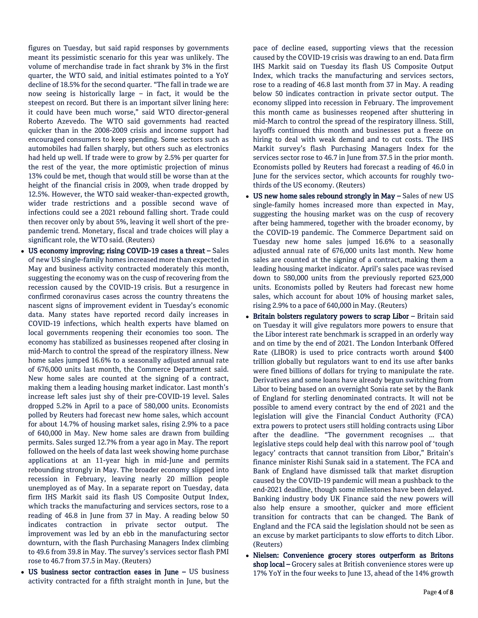figures on Tuesday, but said rapid responses by governments meant its pessimistic scenario for this year was unlikely. The volume of merchandise trade in fact shrank by 3% in the first quarter, the WTO said, and initial estimates pointed to a YoY decline of 18.5% for the second quarter. "The fall in trade we are now seeing is historically large – in fact, it would be the steepest on record. But there is an important silver lining here: it could have been much worse," said WTO director-general Roberto Azevedo. The WTO said governments had reacted quicker than in the 2008-2009 crisis and income support had encouraged consumers to keep spending. Some sectors such as automobiles had fallen sharply, but others such as electronics had held up well. If trade were to grow by 2.5% per quarter for the rest of the year, the more optimistic projection of minus 13% could be met, though that would still be worse than at the height of the financial crisis in 2009, when trade dropped by 12.5%. However, the WTO said weaker-than-expected growth, wider trade restrictions and a possible second wave of infections could see a 2021 rebound falling short. Trade could then recover only by about 5%, leaving it well short of the prepandemic trend. Monetary, fiscal and trade choices will play a significant role, the WTO said. (Reuters)

- US economy improving; rising COVID-19 cases a threat Sales of new US single-family homes increased more than expected in May and business activity contracted moderately this month, suggesting the economy was on the cusp of recovering from the recession caused by the COVID-19 crisis. But a resurgence in confirmed coronavirus cases across the country threatens the nascent signs of improvement evident in Tuesday's economic data. Many states have reported record daily increases in COVID-19 infections, which health experts have blamed on local governments reopening their economies too soon. The economy has stabilized as businesses reopened after closing in mid-March to control the spread of the respiratory illness. New home sales jumped 16.6% to a seasonally adjusted annual rate of 676,000 units last month, the Commerce Department said. New home sales are counted at the signing of a contract, making them a leading housing market indicator. Last month's increase left sales just shy of their pre-COVID-19 level. Sales dropped 5.2% in April to a pace of 580,000 units. Economists polled by Reuters had forecast new home sales, which account for about 14.7% of housing market sales, rising 2.9% to a pace of 640,000 in May. New home sales are drawn from building permits. Sales surged 12.7% from a year ago in May. The report followed on the heels of data last week showing home purchase applications at an 11-year high in mid-June and permits rebounding strongly in May. The broader economy slipped into recession in February, leaving nearly 20 million people unemployed as of May. In a separate report on Tuesday, data firm IHS Markit said its flash US Composite Output Index, which tracks the manufacturing and services sectors, rose to a reading of 46.8 in June from 37 in May. A reading below 50 indicates contraction in private sector output. The improvement was led by an ebb in the manufacturing sector downturn, with the flash Purchasing Managers Index climbing to 49.6 from 39.8 in May. The survey's services sector flash PMI rose to 46.7 from 37.5 in May. (Reuters)
- US business sector contraction eases in June US business activity contracted for a fifth straight month in June, but the

pace of decline eased, supporting views that the recession caused by the COVID-19 crisis was drawing to an end. Data firm IHS Markit said on Tuesday its flash US Composite Output Index, which tracks the manufacturing and services sectors, rose to a reading of 46.8 last month from 37 in May. A reading below 50 indicates contraction in private sector output. The economy slipped into recession in February. The improvement this month came as businesses reopened after shuttering in mid-March to control the spread of the respiratory illness. Still, layoffs continued this month and businesses put a freeze on hiring to deal with weak demand and to cut costs. The IHS Markit survey's flash Purchasing Managers Index for the services sector rose to 46.7 in June from 37.5 in the prior month. Economists polled by Reuters had forecast a reading of 46.0 in June for the services sector, which accounts for roughly twothirds of the US economy. (Reuters)

- US new home sales rebound strongly in May Sales of new US single-family homes increased more than expected in May, suggesting the housing market was on the cusp of recovery after being hammered, together with the broader economy, by the COVID-19 pandemic. The Commerce Department said on Tuesday new home sales jumped 16.6% to a seasonally adjusted annual rate of 676,000 units last month. New home sales are counted at the signing of a contract, making them a leading housing market indicator. April's sales pace was revised down to 580,000 units from the previously reported 623,000 units. Economists polled by Reuters had forecast new home sales, which account for about 10% of housing market sales, rising 2.9% to a pace of 640,000 in May. (Reuters)
- Britain bolsters regulatory powers to scrap Libor Britain said on Tuesday it will give regulators more powers to ensure that the Libor interest rate benchmark is scrapped in an orderly way and on time by the end of 2021. The London Interbank Offered Rate (LIBOR) is used to price contracts worth around \$400 trillion globally but regulators want to end its use after banks were fined billions of dollars for trying to manipulate the rate. Derivatives and some loans have already begun switching from Libor to being based on an overnight Sonia rate set by the Bank of England for sterling denominated contracts. It will not be possible to amend every contract by the end of 2021 and the legislation will give the Financial Conduct Authority (FCA) extra powers to protect users still holding contracts using Libor after the deadline. "The government recognises ... that legislative steps could help deal with this narrow pool of 'tough legacy' contracts that cannot transition from Libor," Britain's finance minister Rishi Sunak said in a statement. The FCA and Bank of England have dismissed talk that market disruption caused by the COVID-19 pandemic will mean a pushback to the end-2021 deadline, though some milestones have been delayed. Banking industry body UK Finance said the new powers will also help ensure a smoother, quicker and more efficient transition for contracts that can be changed. The Bank of England and the FCA said the legislation should not be seen as an excuse by market participants to slow efforts to ditch Libor. (Reuters)
- Nielsen: Convenience grocery stores outperform as Britons shop local – Grocery sales at British convenience stores were up 17% YoY in the four weeks to June 13, ahead of the 14% growth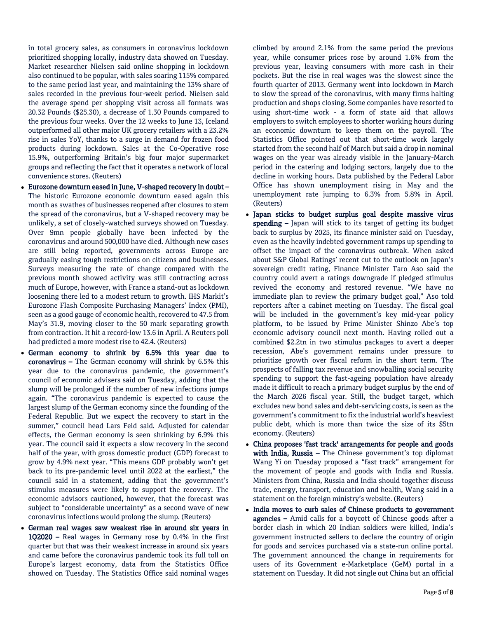in total grocery sales, as consumers in coronavirus lockdown prioritized shopping locally, industry data showed on Tuesday. Market researcher Nielsen said online shopping in lockdown also continued to be popular, with sales soaring 115% compared to the same period last year, and maintaining the 13% share of sales recorded in the previous four-week period. Nielsen said the average spend per shopping visit across all formats was 20.32 Pounds (\$25.30), a decrease of 1.30 Pounds compared to the previous four weeks. Over the 12 weeks to June 13, Iceland outperformed all other major UK grocery retailers with a 23.2% rise in sales YoY, thanks to a surge in demand for frozen food products during lockdown. Sales at the Co-Operative rose 15.9%, outperforming Britain's big four major supermarket groups and reflecting the fact that it operates a network of local convenience stores. (Reuters)

- Eurozone downturn eased in June, V-shaped recovery in doubt The historic Eurozone economic downturn eased again this month as swathes of businesses reopened after closures to stem the spread of the coronavirus, but a V-shaped recovery may be unlikely, a set of closely-watched surveys showed on Tuesday. Over 9mn people globally have been infected by the coronavirus and around 500,000 have died. Although new cases are still being reported, governments across Europe are gradually easing tough restrictions on citizens and businesses. Surveys measuring the rate of change compared with the previous month showed activity was still contracting across much of Europe, however, with France a stand-out as lockdown loosening there led to a modest return to growth. IHS Markit's Eurozone Flash Composite Purchasing Managers' Index (PMI), seen as a good gauge of economic health, recovered to 47.5 from May's 31.9, moving closer to the 50 mark separating growth from contraction. It hit a record-low 13.6 in April. A Reuters poll had predicted a more modest rise to 42.4. (Reuters)
- German economy to shrink by 6.5% this year due to coronavirus – The German economy will shrink by 6.5% this year due to the coronavirus pandemic, the government's council of economic advisers said on Tuesday, adding that the slump will be prolonged if the number of new infections jumps again. "The coronavirus pandemic is expected to cause the largest slump of the German economy since the founding of the Federal Republic. But we expect the recovery to start in the summer," council head Lars Feld said. Adjusted for calendar effects, the German economy is seen shrinking by 6.9% this year. The council said it expects a slow recovery in the second half of the year, with gross domestic product (GDP) forecast to grow by 4.9% next year. "This means GDP probably won't get back to its pre-pandemic level until 2022 at the earliest," the council said in a statement, adding that the government's stimulus measures were likely to support the recovery. The economic advisors cautioned, however, that the forecast was subject to "considerable uncertainty" as a second wave of new coronavirus infections would prolong the slump. (Reuters)
- German real wages saw weakest rise in around six years in 1Q2020 – Real wages in Germany rose by 0.4% in the first quarter but that was their weakest increase in around six years and came before the coronavirus pandemic took its full toll on Europe's largest economy, data from the Statistics Office showed on Tuesday. The Statistics Office said nominal wages

climbed by around 2.1% from the same period the previous year, while consumer prices rose by around 1.6% from the previous year, leaving consumers with more cash in their pockets. But the rise in real wages was the slowest since the fourth quarter of 2013. Germany went into lockdown in March to slow the spread of the coronavirus, with many firms halting production and shops closing. Some companies have resorted to using short-time work - a form of state aid that allows employers to switch employees to shorter working hours during an economic downturn to keep them on the payroll. The Statistics Office pointed out that short-time work largely started from the second half of March but said a drop in nominal wages on the year was already visible in the January-March period in the catering and lodging sectors, largely due to the decline in working hours. Data published by the Federal Labor Office has shown unemployment rising in May and the unemployment rate jumping to 6.3% from 5.8% in April. (Reuters)

- Japan sticks to budget surplus goal despite massive virus spending - Japan will stick to its target of getting its budget back to surplus by 2025, its finance minister said on Tuesday, even as the heavily indebted government ramps up spending to offset the impact of the coronavirus outbreak. When asked about S&P Global Ratings' recent cut to the outlook on Japan's sovereign credit rating, Finance Minister Taro Aso said the country could avert a ratings downgrade if pledged stimulus revived the economy and restored revenue. "We have no immediate plan to review the primary budget goal," Aso told reporters after a cabinet meeting on Tuesday. The fiscal goal will be included in the government's key mid-year policy platform, to be issued by Prime Minister Shinzo Abe's top economic advisory council next month. Having rolled out a combined \$2.2tn in two stimulus packages to avert a deeper recession, Abe's government remains under pressure to prioritize growth over fiscal reform in the short term. The prospects of falling tax revenue and snowballing social security spending to support the fast-ageing population have already made it difficult to reach a primary budget surplus by the end of the March 2026 fiscal year. Still, the budget target, which excludes new bond sales and debt-servicing costs, is seen as the government's commitment to fix the industrial world's heaviest public debt, which is more than twice the size of its \$5tn economy. (Reuters)
- China proposes 'fast track' arrangements for people and goods with India, Russia - The Chinese government's top diplomat Wang Yi on Tuesday proposed a "fast track" arrangement for the movement of people and goods with India and Russia. Ministers from China, Russia and India should together discuss trade, energy, transport, education and health, Wang said in a statement on the foreign ministry's website. (Reuters)
- India moves to curb sales of Chinese products to government agencies – Amid calls for a boycott of Chinese goods after a border clash in which 20 Indian soldiers were killed, India's government instructed sellers to declare the country of origin for goods and services purchased via a state-run online portal. The government announced the change in requirements for users of its Government e-Marketplace (GeM) portal in a statement on Tuesday. It did not single out China but an official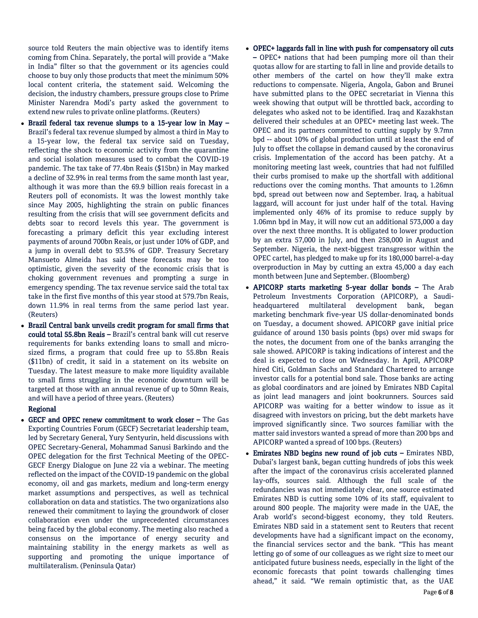source told Reuters the main objective was to identify items coming from China. Separately, the portal will provide a "Make in India" filter so that the government or its agencies could choose to buy only those products that meet the minimum 50% local content criteria, the statement said. Welcoming the decision, the industry chambers, pressure groups close to Prime Minister Narendra Modi's party asked the government to extend new rules to private online platforms. (Reuters)

- Brazil federal tax revenue slumps to a 15-year low in May Brazil's federal tax revenue slumped by almost a third in May to a 15-year low, the federal tax service said on Tuesday, reflecting the shock to economic activity from the quarantine and social isolation measures used to combat the COVID-19 pandemic. The tax take of 77.4bn Reais (\$15bn) in May marked a decline of 32.9% in real terms from the same month last year, although it was more than the 69.9 billion reais forecast in a Reuters poll of economists. It was the lowest monthly take since May 2005, highlighting the strain on public finances resulting from the crisis that will see government deficits and debts soar to record levels this year. The government is forecasting a primary deficit this year excluding interest payments of around 700bn Reais, or just under 10% of GDP, and a jump in overall debt to 93.5% of GDP. Treasury Secretary Mansueto Almeida has said these forecasts may be too optimistic, given the severity of the economic crisis that is choking government revenues and prompting a surge in emergency spending. The tax revenue service said the total tax take in the first five months of this year stood at 579.7bn Reais, down 11.9% in real terms from the same period last year. (Reuters)
- Brazil Central bank unveils credit program for small firms that could total 55.8bn Reais – Brazil's central bank will cut reserve requirements for banks extending loans to small and microsized firms, a program that could free up to 55.8bn Reais (\$11bn) of credit, it said in a statement on its website on Tuesday. The latest measure to make more liquidity available to small firms struggling in the economic downturn will be targeted at those with an annual revenue of up to 50mn Reais, and will have a period of three years. (Reuters)

### Regional

 GECF and OPEC renew commitment to work closer – The Gas Exporting Countries Forum (GECF) Secretariat leadership team, led by Secretary General, Yury Sentyurin, held discussions with OPEC Secretary-General, Mohammad Sanusi Barkindo and the OPEC delegation for the first Technical Meeting of the OPEC-GECF Energy Dialogue on June 22 via a webinar. The meeting reflected on the impact of the COVID-19 pandemic on the global economy, oil and gas markets, medium and long-term energy market assumptions and perspectives, as well as technical collaboration on data and statistics. The two organizations also renewed their commitment to laying the groundwork of closer collaboration even under the unprecedented circumstances being faced by the global economy. The meeting also reached a consensus on the importance of energy security and maintaining stability in the energy markets as well as supporting and promoting the unique importance of multilateralism. (Peninsula Qatar)

- OPEC+ laggards fall in line with push for compensatory oil cuts – OPEC+ nations that had been pumping more oil than their quotas allow for are starting to fall in line and provide details to other members of the cartel on how they'll make extra reductions to compensate. Nigeria, Angola, Gabon and Brunei have submitted plans to the OPEC secretariat in Vienna this week showing that output will be throttled back, according to delegates who asked not to be identified. Iraq and Kazakhstan delivered their schedules at an OPEC+ meeting last week. The OPEC and its partners committed to cutting supply by 9.7mn bpd -- about 10% of global production until at least the end of July to offset the collapse in demand caused by the coronavirus crisis. Implementation of the accord has been patchy. At a monitoring meeting last week, countries that had not fulfilled their curbs promised to make up the shortfall with additional reductions over the coming months. That amounts to 1.26mn bpd, spread out between now and September. Iraq, a habitual laggard, will account for just under half of the total. Having implemented only 46% of its promise to reduce supply by 1.06mn bpd in May, it will now cut an additional 573,000 a day over the next three months. It is obligated to lower production by an extra 57,000 in July, and then 258,000 in August and September. Nigeria, the next-biggest transgressor within the OPEC cartel, has pledged to make up for its 180,000 barrel-a-day overproduction in May by cutting an extra 45,000 a day each month between June and September. (Bloomberg)
- APICORP starts marketing 5-year dollar bonds The Arab Petroleum Investments Corporation (APICORP), a Saudiheadquartered multilateral development bank, began marketing benchmark five-year US dollar-denominated bonds on Tuesday, a document showed. APICORP gave initial price guidance of around 130 basis points (bps) over mid swaps for the notes, the document from one of the banks arranging the sale showed. APICORP is taking indications of interest and the deal is expected to close on Wednesday. In April, APICORP hired Citi, Goldman Sachs and Standard Chartered to arrange investor calls for a potential bond sale. Those banks are acting as global coordinators and are joined by Emirates NBD Capital as joint lead managers and joint bookrunners. Sources said APICORP was waiting for a better window to issue as it disagreed with investors on pricing, but the debt markets have improved significantly since. Two sources familiar with the matter said investors wanted a spread of more than 200 bps and APICORP wanted a spread of 100 bps. (Reuters)
- Emirates NBD begins new round of job cuts Emirates NBD, Dubai's largest bank, began cutting hundreds of jobs this week after the impact of the coronavirus crisis accelerated planned lay-offs, sources said. Although the full scale of the redundancies was not immediately clear, one source estimated Emirates NBD is cutting some 10% of its staff, equivalent to around 800 people. The majority were made in the UAE, the Arab world's second-biggest economy, they told Reuters. Emirates NBD said in a statement sent to Reuters that recent developments have had a significant impact on the economy, the financial services sector and the bank. "This has meant letting go of some of our colleagues as we right size to meet our anticipated future business needs, especially in the light of the economic forecasts that point towards challenging times ahead," it said. "We remain optimistic that, as the UAE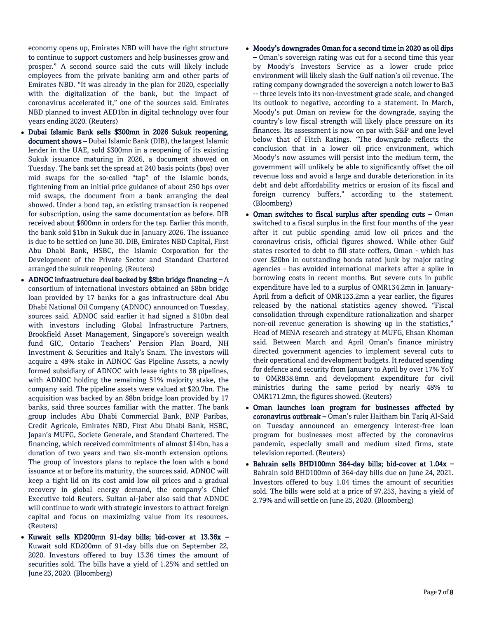economy opens up, Emirates NBD will have the right structure to continue to support customers and help businesses grow and prosper." A second source said the cuts will likely include employees from the private banking arm and other parts of Emirates NBD. "It was already in the plan for 2020, especially with the digitalization of the bank, but the impact of coronavirus accelerated it," one of the sources said. Emirates NBD planned to invest AED1bn in digital technology over four years ending 2020. (Reuters)

- Dubai Islamic Bank sells \$300mn in 2026 Sukuk reopening, document shows – Dubai Islamic Bank (DIB), the largest Islamic lender in the UAE, sold \$300mn in a reopening of its existing Sukuk issuance maturing in 2026, a document showed on Tuesday. The bank set the spread at 240 basis points (bps) over mid swaps for the so-called "tap" of the Islamic bonds, tightening from an initial price guidance of about 250 bps over mid swaps, the document from a bank arranging the deal showed. Under a bond tap, an existing transaction is reopened for subscription, using the same documentation as before. DIB received about \$600mn in orders for the tap. Earlier this month, the bank sold \$1bn in Sukuk due in January 2026. The issuance is due to be settled on June 30. DIB, Emirates NBD Capital, First Abu Dhabi Bank, HSBC, the Islamic Corporation for the Development of the Private Sector and Standard Chartered arranged the sukuk reopening. (Reuters)
- ADNOC infrastructure deal backed by \$8bn bridge financing  $-A$ consortium of international investors obtained an \$8bn bridge loan provided by 17 banks for a gas infrastructure deal Abu Dhabi National Oil Company (ADNOC) announced on Tuesday, sources said. ADNOC said earlier it had signed a \$10bn deal with investors including Global Infrastructure Partners, Brookfield Asset Management, Singapore's sovereign wealth fund GIC, Ontario Teachers' Pension Plan Board, NH Investment & Securities and Italy's Snam. The investors will acquire a 49% stake in ADNOC Gas Pipeline Assets, a newly formed subsidiary of ADNOC with lease rights to 38 pipelines, with ADNOC holding the remaining 51% majority stake, the company said. The pipeline assets were valued at \$20.7bn. The acquisition was backed by an \$8bn bridge loan provided by 17 banks, said three sources familiar with the matter. The bank group includes Abu Dhabi Commercial Bank, BNP Paribas, Credit Agricole, Emirates NBD, First Abu Dhabi Bank, HSBC, Japan's MUFG, Societe Generale, and Standard Chartered. The financing, which received commitments of almost \$14bn, has a duration of two years and two six-month extension options. The group of investors plans to replace the loan with a bond issuance at or before its maturity, the sources said. ADNOC will keep a tight lid on its cost amid low oil prices and a gradual recovery in global energy demand, the company's Chief Executive told Reuters. Sultan al-Jaber also said that ADNOC will continue to work with strategic investors to attract foreign capital and focus on maximizing value from its resources. (Reuters)
- Kuwait sells KD200mn 91-day bills; bid-cover at 13.36x Kuwait sold KD200mn of 91-day bills due on September 22, 2020. Investors offered to buy 13.36 times the amount of securities sold. The bills have a yield of 1.25% and settled on June 23, 2020. (Bloomberg)
- Moody's downgrades Oman for a second time in 2020 as oil dips – Oman's sovereign rating was cut for a second time this year by Moody's Investors Service as a lower crude price environment will likely slash the Gulf nation's oil revenue. The rating company downgraded the sovereign a notch lower to Ba3 -- three levels into its non-investment grade scale, and changed its outlook to negative, according to a statement. In March, Moody's put Oman on review for the downgrade, saying the country's low fiscal strength will likely place pressure on its finances. Its assessment is now on par with S&P and one level below that of Fitch Ratings. "The downgrade reflects the conclusion that in a lower oil price environment, which Moody's now assumes will persist into the medium term, the government will unlikely be able to significantly offset the oil revenue loss and avoid a large and durable deterioration in its debt and debt affordability metrics or erosion of its fiscal and foreign currency buffers," according to the statement. (Bloomberg)
- Oman switches to fiscal surplus after spending cuts Oman switched to a fiscal surplus in the first four months of the year after it cut public spending amid low oil prices and the coronavirus crisis, official figures showed. While other Gulf states resorted to debt to fill state coffers, Oman - which has over \$20bn in outstanding bonds rated junk by major rating agencies - has avoided international markets after a spike in borrowing costs in recent months. But severe cuts in public expenditure have led to a surplus of OMR134.2mn in January-April from a deficit of OMR133.2mn a year earlier, the figures released by the national statistics agency showed. "Fiscal consolidation through expenditure rationalization and sharper non-oil revenue generation is showing up in the statistics," Head of MENA research and strategy at MUFG, Ehsan Khoman said. Between March and April Oman's finance ministry directed government agencies to implement several cuts to their operational and development budgets. It reduced spending for defence and security from January to April by over 17% YoY to OMR838.8mn and development expenditure for civil ministries during the same period by nearly 48% to OMR171.2mn, the figures showed. (Reuters)
- Oman launches loan program for businesses affected by coronavirus outbreak – Oman's ruler Haitham bin Tariq Al-Said on Tuesday announced an emergency interest-free loan program for businesses most affected by the coronavirus pandemic, especially small and medium sized firms, state television reported. (Reuters)
- Bahrain sells BHD100mn 364-day bills; bid-cover at 1.04x Bahrain sold BHD100mn of 364-day bills due on June 24, 2021. Investors offered to buy 1.04 times the amount of securities sold. The bills were sold at a price of 97.253, having a yield of 2.79% and will settle on June 25, 2020. (Bloomberg)